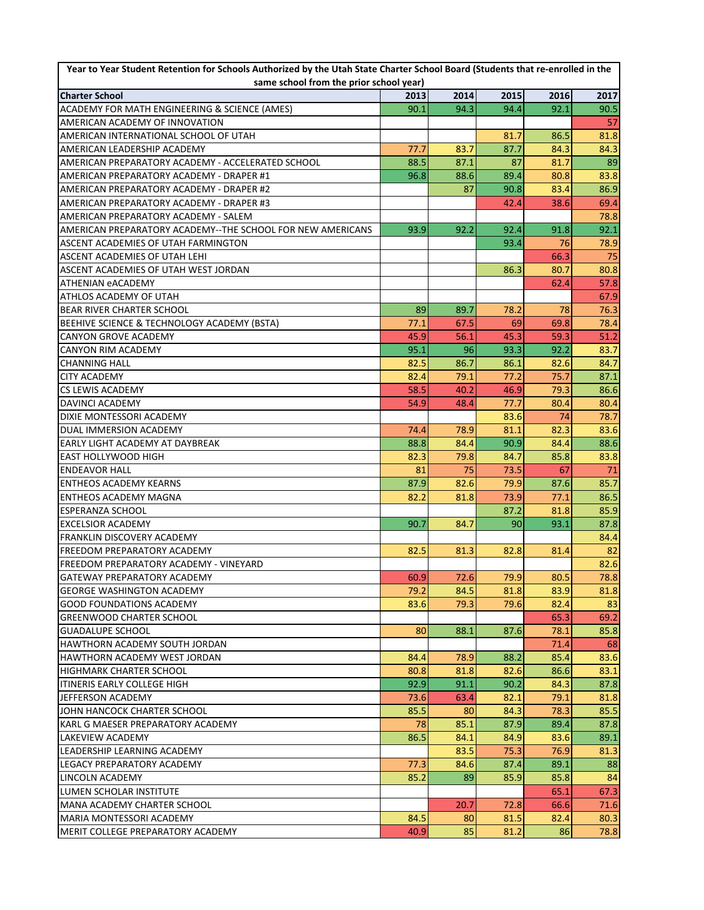| Year to Year Student Retention for Schools Authorized by the Utah State Charter School Board (Students that re-enrolled in the<br>same school from the prior school year) |              |      |              |              |      |  |  |  |
|---------------------------------------------------------------------------------------------------------------------------------------------------------------------------|--------------|------|--------------|--------------|------|--|--|--|
|                                                                                                                                                                           |              |      |              |              |      |  |  |  |
| <b>Charter School</b>                                                                                                                                                     | 2013         | 2014 | 2015         | 2016         | 2017 |  |  |  |
| ACADEMY FOR MATH ENGINEERING & SCIENCE (AMES)<br>AMERICAN ACADEMY OF INNOVATION                                                                                           | 90.1         | 94.3 | 94.4         | 92.1         | 90.5 |  |  |  |
|                                                                                                                                                                           |              |      |              |              | 57   |  |  |  |
| AMERICAN INTERNATIONAL SCHOOL OF UTAH                                                                                                                                     |              |      | 81.7<br>87.7 | 86.5<br>84.3 | 81.8 |  |  |  |
| AMERICAN LEADERSHIP ACADEMY                                                                                                                                               | 77.7<br>88.5 | 83.7 |              |              | 84.3 |  |  |  |
| AMERICAN PREPARATORY ACADEMY - ACCELERATED SCHOOL                                                                                                                         |              | 87.1 | 87           | 81.7         | 89   |  |  |  |
| AMERICAN PREPARATORY ACADEMY - DRAPER #1                                                                                                                                  | 96.8         | 88.6 | 89.4         | 80.8         | 83.8 |  |  |  |
| AMERICAN PREPARATORY ACADEMY - DRAPER #2                                                                                                                                  |              | 87   | 90.8         | 83.4         | 86.9 |  |  |  |
| AMERICAN PREPARATORY ACADEMY - DRAPER #3                                                                                                                                  |              |      | 42.4         | 38.6         | 69.4 |  |  |  |
| AMERICAN PREPARATORY ACADEMY - SALEM                                                                                                                                      |              |      |              |              | 78.8 |  |  |  |
| AMERICAN PREPARATORY ACADEMY--THE SCHOOL FOR NEW AMERICANS                                                                                                                | 93.9         | 92.2 | 92.4         | 91.8         | 92.1 |  |  |  |
| ASCENT ACADEMIES OF UTAH FARMINGTON                                                                                                                                       |              |      | 93.4         | 76           | 78.9 |  |  |  |
| ASCENT ACADEMIES OF UTAH LEHI                                                                                                                                             |              |      |              | 66.3         | 75   |  |  |  |
| ASCENT ACADEMIES OF UTAH WEST JORDAN                                                                                                                                      |              |      | 86.3         | 80.7         | 80.8 |  |  |  |
| <b>ATHENIAN eACADEMY</b>                                                                                                                                                  |              |      |              | 62.4         | 57.8 |  |  |  |
| ATHLOS ACADEMY OF UTAH                                                                                                                                                    |              |      |              |              | 67.9 |  |  |  |
| <b>BEAR RIVER CHARTER SCHOOL</b>                                                                                                                                          | 89           | 89.7 | 78.2         | 78           | 76.3 |  |  |  |
| BEEHIVE SCIENCE & TECHNOLOGY ACADEMY (BSTA)                                                                                                                               | 77.1         | 67.5 | 69           | 69.8         | 78.4 |  |  |  |
| <b>CANYON GROVE ACADEMY</b>                                                                                                                                               | 45.9         | 56.1 | 45.3         | 59.3         | 51.2 |  |  |  |
| <b>CANYON RIM ACADEMY</b>                                                                                                                                                 | 95.1         | 96   | 93.3         | 92.2         | 83.7 |  |  |  |
| <b>CHANNING HALL</b>                                                                                                                                                      | 82.5         | 86.7 | 86.1         | 82.6         | 84.7 |  |  |  |
| <b>CITY ACADEMY</b>                                                                                                                                                       | 82.4         | 79.1 | 77.2         | 75.7         | 87.1 |  |  |  |
| CS LEWIS ACADEMY                                                                                                                                                          | 58.5         | 40.2 | 46.9         | 79.3         | 86.6 |  |  |  |
| <b>DAVINCI ACADEMY</b>                                                                                                                                                    | 54.9         | 48.4 | 77.7         | 80.4         | 80.4 |  |  |  |
| DIXIE MONTESSORI ACADEMY                                                                                                                                                  |              |      | 83.6         | 74           | 78.7 |  |  |  |
| DUAL IMMERSION ACADEMY                                                                                                                                                    | 74.4         | 78.9 | 81.1         | 82.3         | 83.6 |  |  |  |
| <b>EARLY LIGHT ACADEMY AT DAYBREAK</b>                                                                                                                                    | 88.8         | 84.4 | 90.9         | 84.4         | 88.6 |  |  |  |
| <b>EAST HOLLYWOOD HIGH</b>                                                                                                                                                | 82.3         | 79.8 | 84.7         | 85.8         | 83.8 |  |  |  |
| <b>ENDEAVOR HALL</b>                                                                                                                                                      | 81           | 75   | 73.5         | 67           | 71   |  |  |  |
| <b>ENTHEOS ACADEMY KEARNS</b>                                                                                                                                             | 87.9         | 82.6 | 79.9         | 87.6         | 85.7 |  |  |  |
| IENTHEOS ACADEMY MAGNA                                                                                                                                                    | 82.2         | 81.8 | 73.9         | 77.1         | 86.5 |  |  |  |
| <b>ESPERANZA SCHOOL</b>                                                                                                                                                   |              |      | 87.2         | 81.8         | 85.9 |  |  |  |
| <b>EXCELSIOR ACADEMY</b>                                                                                                                                                  | 90.7         | 84.7 | 90           | 93.1         | 87.8 |  |  |  |
| <b>FRANKLIN DISCOVERY ACADEMY</b>                                                                                                                                         |              |      |              |              | 84.4 |  |  |  |
| <b>FREEDOM PREPARATORY ACADEMY</b>                                                                                                                                        | 82.5         | 81.3 | 82.8         | 81.4         | 82   |  |  |  |
| FREEDOM PREPARATORY ACADEMY - VINEYARD                                                                                                                                    |              |      |              |              | 82.6 |  |  |  |
| <b>GATEWAY PREPARATORY ACADEMY</b>                                                                                                                                        | 60.9         | 72.6 | 79.9         | 80.5         | 78.8 |  |  |  |
| <b>GEORGE WASHINGTON ACADEMY</b>                                                                                                                                          | 79.2         | 84.5 | 81.8         | 83.9         | 81.8 |  |  |  |
| <b>GOOD FOUNDATIONS ACADEMY</b>                                                                                                                                           | 83.6         | 79.3 | 79.6         | 82.4         | 83   |  |  |  |
| <b>GREENWOOD CHARTER SCHOOL</b>                                                                                                                                           |              |      |              | 65.3         | 69.2 |  |  |  |
| <b>GUADALUPE SCHOOL</b>                                                                                                                                                   | 80           | 88.1 | 87.6         | 78.1         | 85.8 |  |  |  |
| HAWTHORN ACADEMY SOUTH JORDAN                                                                                                                                             |              |      |              | 71.4         | 68   |  |  |  |
| HAWTHORN ACADEMY WEST JORDAN                                                                                                                                              | 84.4         | 78.9 | 88.2         | 85.4         | 83.6 |  |  |  |
| <b>HIGHMARK CHARTER SCHOOL</b>                                                                                                                                            | 80.8         | 81.8 | 82.6         | 86.6         | 83.1 |  |  |  |
| <b>ITINERIS EARLY COLLEGE HIGH</b>                                                                                                                                        | 92.9         | 91.1 | 90.2         | 84.3         | 87.8 |  |  |  |
| JEFFERSON ACADEMY                                                                                                                                                         | 73.6         | 63.4 | 82.1         | 79.1         | 81.8 |  |  |  |
| JOHN HANCOCK CHARTER SCHOOL                                                                                                                                               | 85.5         | 80   | 84.3         | 78.3         | 85.5 |  |  |  |
| KARL G MAESER PREPARATORY ACADEMY                                                                                                                                         | 78           | 85.1 | 87.9         | 89.4         | 87.8 |  |  |  |
| <b>LAKEVIEW ACADEMY</b>                                                                                                                                                   | 86.5         | 84.1 | 84.9         | 83.6         | 89.1 |  |  |  |
| LEADERSHIP LEARNING ACADEMY                                                                                                                                               |              | 83.5 | 75.3         | 76.9         | 81.3 |  |  |  |
| LEGACY PREPARATORY ACADEMY                                                                                                                                                | 77.3         | 84.6 | 87.4         | 89.1         | 88   |  |  |  |
| LINCOLN ACADEMY                                                                                                                                                           | 85.2         | 89   | 85.9         | 85.8         | 84   |  |  |  |
| LUMEN SCHOLAR INSTITUTE                                                                                                                                                   |              |      |              | 65.1         | 67.3 |  |  |  |
| MANA ACADEMY CHARTER SCHOOL                                                                                                                                               |              | 20.7 | 72.8         | 66.6         | 71.6 |  |  |  |
| <b>MARIA MONTESSORI ACADEMY</b>                                                                                                                                           | 84.5         | 80   | 81.5         | 82.4         | 80.3 |  |  |  |
| MERIT COLLEGE PREPARATORY ACADEMY                                                                                                                                         | 40.9         | 85   | 81.2         | 86           | 78.8 |  |  |  |